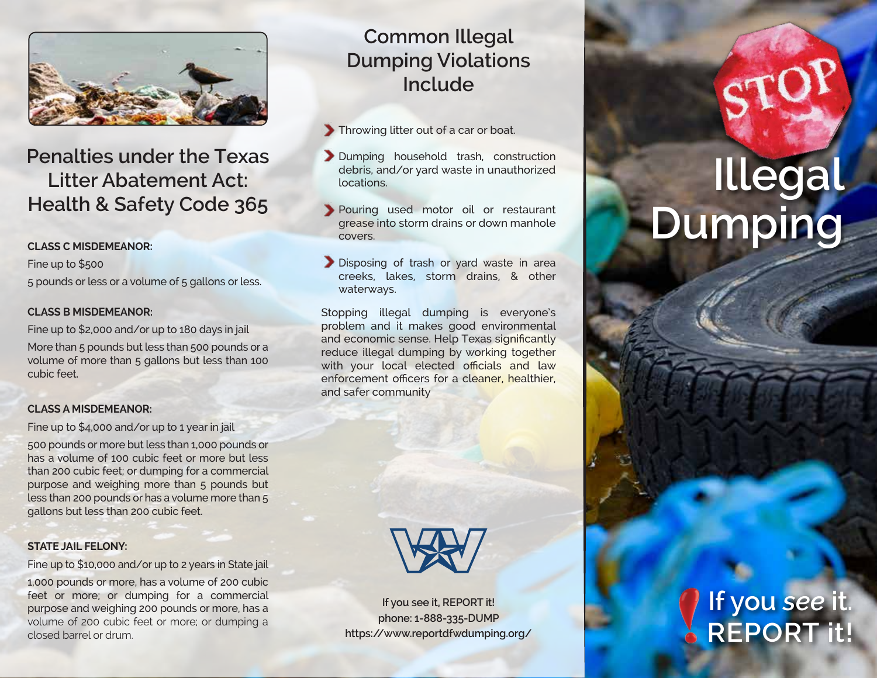

# **Penalties under the Texas Litter Abatement Act: Health & Safety Code 365**

#### **CLASS C MISDEMEANOR:**

Fine up to \$500 5 pounds or less or a volume of 5 gallons or less.

#### **CLASS B MISDEMEANOR:**

Fine up to \$2,000 and/or up to 180 days in jail

More than 5 pounds but less than 500 pounds or a volume of more than 5 gallons but less than 100 cubic feet.

#### **CLASS A MISDEMEANOR:**

Fine up to \$4,000 and/or up to 1 year in jail

500 pounds or more but less than 1,000 pounds or has a volume of 100 cubic feet or more but less than 200 cubic feet; or dumping for a commercial purpose and weighing more than 5 pounds but less than 200 pounds or has a volume more than 5 gallons but less than 200 cubic feet.

#### **STATE JAIL FELONY:**

Fine up to \$10,000 and/or up to 2 years in State jail

1,000 pounds or more, has a volume of 200 cubic feet or more; or dumping for a commercial purpose and weighing 200 pounds or more, has a volume of 200 cubic feet or more; or dumping a closed barrel or drum.

# **Common Illegal Dumping Violations Include**

Throwing litter out of a car or boat.

- Dumping household trash, construction debris, and/or yard waste in unauthorized locations.
- Pouring used motor oil or restaurant grease into storm drains or down manhole covers.
- Disposing of trash or yard waste in area creeks, lakes, storm drains, & other waterways.

Stopping illegal dumping is everyone's problem and it makes good environmental and economic sense. Help Texas significantly reduce illegal dumping by working together with your local elected officials and law enforcement officers for a cleaner, healthier, and safer community



**If you see it, REPORT it! phone: 1-888-335-DUMP https://www.reportdfwdumping.org/**

# **Illegal Dumping**

# **If you** *see* **it. REPORT it!**